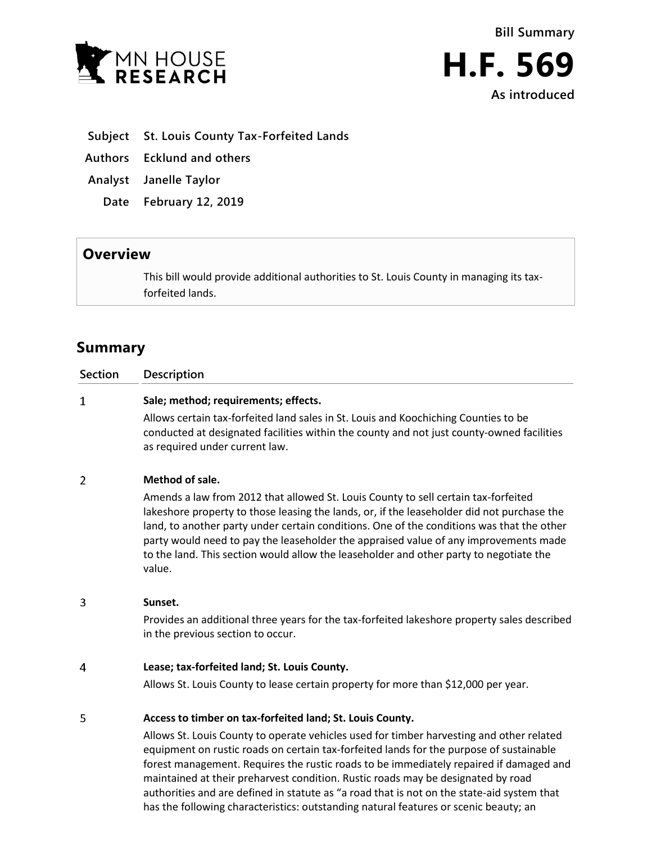



- **Subject St. Louis County Tax-Forfeited Lands**
- **Authors Ecklund and others**
- **Analyst Janelle Taylor**
	- **Date February 12, 2019**

## **Overview**

This bill would provide additional authorities to St. Louis County in managing its taxforfeited lands.

# **Summary**

| <b>Section</b> | <b>Description</b>                                                                  |
|----------------|-------------------------------------------------------------------------------------|
|                | Sale; method; requirements; effects.                                                |
|                | Allows certain tax-forfeited land sales in St. Louis and Koochiching Counties to be |

conducted at designated facilities within the county and not just county-owned facilities as required under current law.

#### $\overline{2}$ **Method of sale.**

Amends a law from 2012 that allowed St. Louis County to sell certain tax-forfeited lakeshore property to those leasing the lands, or, if the leaseholder did not purchase the land, to another party under certain conditions. One of the conditions was that the other party would need to pay the leaseholder the appraised value of any improvements made to the land. This section would allow the leaseholder and other party to negotiate the value.

3 **Sunset.**

Provides an additional three years for the tax-forfeited lakeshore property sales described in the previous section to occur.

#### $\overline{4}$ **Lease; tax-forfeited land; St. Louis County.**

Allows St. Louis County to lease certain property for more than \$12,000 per year.

#### 5 **Access to timber on tax-forfeited land; St. Louis County.**

Allows St. Louis County to operate vehicles used for timber harvesting and other related equipment on rustic roads on certain tax-forfeited lands for the purpose of sustainable forest management. Requires the rustic roads to be immediately repaired if damaged and maintained at their preharvest condition. Rustic roads may be designated by road authorities and are defined in statute as "a road that is not on the state-aid system that has the following characteristics: outstanding natural features or scenic beauty; an